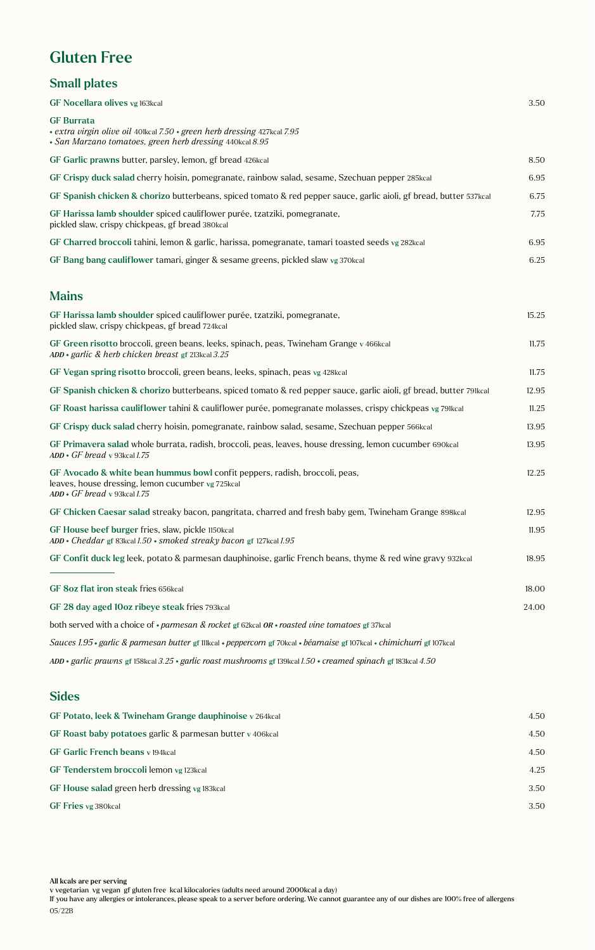# Gluten Free

### Small plates

| GF Nocellara olives vg 163kcal                                                                                                                                   | 3.50  |
|------------------------------------------------------------------------------------------------------------------------------------------------------------------|-------|
| <b>GF Burrata</b><br>• extra virgin olive oil 401kcal 7.50 • green herb dressing 427kcal 7.95<br>• San Marzano tomatoes, green herb dressing 440kcal 8.95        |       |
| GF Garlic prawns butter, parsley, lemon, gf bread 426kcal                                                                                                        | 8.50  |
| GF Crispy duck salad cherry hoisin, pomegranate, rainbow salad, sesame, Szechuan pepper 285kcal                                                                  | 6.95  |
| GF Spanish chicken & chorizo butterbeans, spiced tomato & red pepper sauce, garlic aioli, gf bread, butter 537kcal                                               | 6.75  |
| GF Harissa lamb shoulder spiced cauliflower purée, tzatziki, pomegranate,<br>pickled slaw, crispy chickpeas, gf bread 380kcal                                    | 7.75  |
| GF Charred broccoli tahini, lemon & garlic, harissa, pomegranate, tamari toasted seeds vg 282kcal                                                                | 6.95  |
| GF Bang bang cauliflower tamari, ginger & sesame greens, pickled slaw vg 370kcal                                                                                 | 6.25  |
| <b>Mains</b>                                                                                                                                                     |       |
| GF Harissa lamb shoulder spiced cauliflower purée, tzatziki, pomegranate,<br>pickled slaw, crispy chickpeas, gf bread 724kcal                                    | 15.25 |
| GF Green risotto broccoli, green beans, leeks, spinach, peas, Twineham Grange v 466kcal<br>$ADD * garlic \&\ herb \ chicken\ breast\ gf$ 213kcal 3.25            | 11.75 |
| GF Vegan spring risotto broccoli, green beans, leeks, spinach, peas vg 428kcal                                                                                   | 11.75 |
| GF Spanish chicken & chorizo butterbeans, spiced tomato & red pepper sauce, garlic aioli, gf bread, butter 79lkcal                                               | 12.95 |
| GF Roast harissa cauliflower tahini & cauliflower purée, pomegranate molasses, crispy chickpeas vg 791 kcal                                                      | 11.25 |
| GF Crispy duck salad cherry hoisin, pomegranate, rainbow salad, sesame, Szechuan pepper 566 kcal                                                                 | 13.95 |
| GF Primavera salad whole burrata, radish, broccoli, peas, leaves, house dressing, lemon cucumber 690kcal<br>$ADD \cdot GF$ bread v 93kcal 1.75                   | 13.95 |
| GF Avocado & white bean hummus bowl confit peppers, radish, broccoli, peas,<br>leaves, house dressing, lemon cucumber vg 725kcal<br>ADD · GF bread v 93kcal 1.75 | 12.25 |
| GF Chicken Caesar salad streaky bacon, pangritata, charred and fresh baby gem, Twineham Grange 898kcal                                                           | 12.95 |
| GF House beef burger fries, slaw, pickle 1150kcal<br>$ADD * Cheddar$ gf 83kcal 1.50 $\cdot$ smoked streaky bacon gf 127kcal 1.95                                 | 11.95 |
| GF Confit duck leg leek, potato & parmesan dauphinoise, garlic French beans, thyme & red wine gravy 932kcal                                                      | 18.95 |
| GF 8oz flat iron steak fries 656kcal                                                                                                                             | 18.00 |
| GF 28 day aged 10oz ribeye steak fries 793kcal                                                                                                                   | 24.00 |
| both served with a choice of $\cdot$ parmesan & rocket gf 62kcal OR $\cdot$ roasted vine tomatoes gf 37kcal                                                      |       |
| Sauces 1.95 · garlic & parmesan butter gf 111kcal · peppercorn gf 70kcal · béarnaise gf 107kcal · chimichurri gf 107kcal                                         |       |
| ADD • garlic prawns gf 158kcal 3.25 • garlic roast mushrooms gf 139kcal 1.50 • creamed spinach gf 183kcal 4.50                                                   |       |
| $\mathbf{C}$ : $\mathbf{I}$                                                                                                                                      |       |

#### Sides

| GF Potato, leek & Twineham Grange dauphinoise v 264 kcal  | 4.50 |
|-----------------------------------------------------------|------|
| GF Roast baby potatoes garlic & parmesan butter v 406kcal | 4.50 |
| <b>GF Garlic French beans v 194 kcal</b>                  | 4.50 |
| GF Tenderstem broccoli lemon vg 123kcal                   | 4.25 |
| GF House salad green herb dressing vg 183 kcal            | 3.50 |
| GF Fries vg 380kcal                                       | 3.50 |
|                                                           |      |

All kcals are per serving

If you have any allergies or intolerances, please speak to a server before ordering. We cannot guarantee any of our dishes are 100% free of allergens 05/22B

v vegetarian vg vegan gf gluten free kcal kilocalories (adults need around 2000kcal a day)